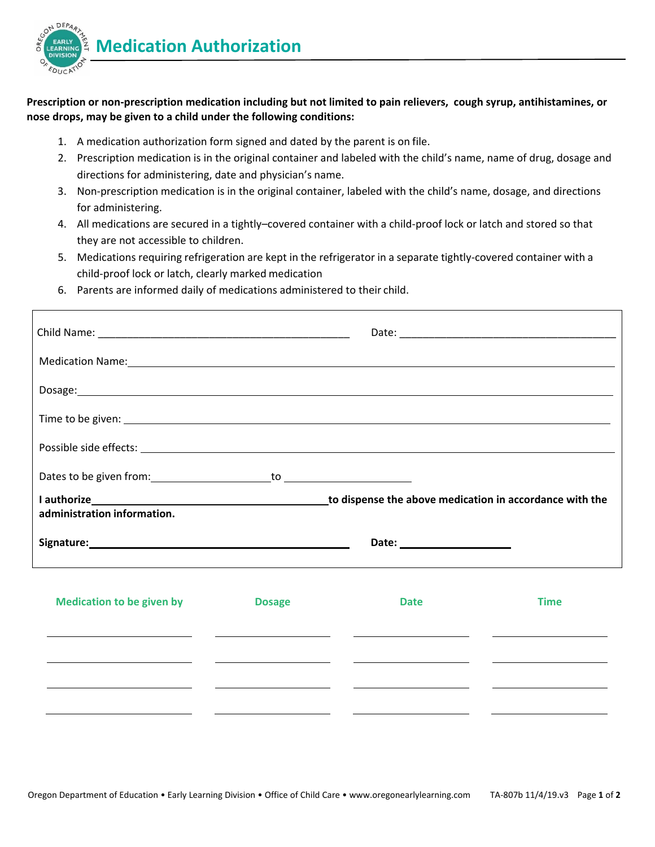

## Prescription or non-prescription medication including but not limited to pain relievers, cough syrup, antihistamines, or **nose drops, may be given to a child under the following conditions:**

- 1. A medication authorization form signed and dated by the parent is on file.
- 2. Prescription medication is in the original container and labeled with the child's name, name of drug, dosage and directions for administering, date and physician's name.
- 3. Non‐prescription medication is in the original container, labeled with the child's name, dosage, and directions for administering.
- 4. All medications are secured in a tightly–covered container with a child‐proof lock or latch and stored so that they are not accessible to children.
- 5. Medications requiring refrigeration are kept in the refrigerator in a separate tightly-covered container with a child‐proof lock or latch, clearly marked medication
- 6. Parents are informed daily of medications administered to their child.

| Medication Name: 1988 Manual Manual Medication Manual Medication Name: 1988 Manual Medication Name: 1988 Manua                                                                                                                       |                                                                                                                                                                                                                                                                                           |                                                                                                                                                                                                                                                                              |                                                                        |
|--------------------------------------------------------------------------------------------------------------------------------------------------------------------------------------------------------------------------------------|-------------------------------------------------------------------------------------------------------------------------------------------------------------------------------------------------------------------------------------------------------------------------------------------|------------------------------------------------------------------------------------------------------------------------------------------------------------------------------------------------------------------------------------------------------------------------------|------------------------------------------------------------------------|
|                                                                                                                                                                                                                                      |                                                                                                                                                                                                                                                                                           |                                                                                                                                                                                                                                                                              |                                                                        |
| Time to be given: <u>contract the set of the set of the set of the set of the set of the set of the set of the set of the set of the set of the set of the set of the set of the set of the set of the set of the set of the set</u> |                                                                                                                                                                                                                                                                                           |                                                                                                                                                                                                                                                                              |                                                                        |
|                                                                                                                                                                                                                                      |                                                                                                                                                                                                                                                                                           |                                                                                                                                                                                                                                                                              |                                                                        |
|                                                                                                                                                                                                                                      |                                                                                                                                                                                                                                                                                           |                                                                                                                                                                                                                                                                              |                                                                        |
| administration information.                                                                                                                                                                                                          |                                                                                                                                                                                                                                                                                           |                                                                                                                                                                                                                                                                              |                                                                        |
| Signature: Signature:                                                                                                                                                                                                                |                                                                                                                                                                                                                                                                                           |                                                                                                                                                                                                                                                                              |                                                                        |
| <b>Medication to be given by</b>                                                                                                                                                                                                     | <b>Dosage</b><br><u> Listen van die Stad van die Stad van die Stad van die Stad van die Stad van die Stad van die Stad van die Stad</u>                                                                                                                                                   | <b>Date</b><br><u> De Carlos de Carlos de Carlos de Carlos de Carlos de Carlos de Carlos de Carlos de Carlos de Carlos de Carlos </u>                                                                                                                                        | <b>Time</b><br><u>and the contract of the contract of the contract</u> |
|                                                                                                                                                                                                                                      | <u> Andreas Andreas Andreas Andreas Andreas Andreas Andreas Andreas Andreas Andreas Andreas Andreas Andreas Andreas Andreas Andreas Andreas Andreas Andreas Andreas Andreas Andreas Andreas Andreas Andreas Andreas Andreas Andr</u><br><u> 1980 - Jan Samuel Barbara, político e a f</u> | <u> 1999 - Jan Barbara (j. 1989)</u><br><u>state and the state of the state of the state of the state of the state of the state of the state of the state of the state of the state of the state of the state of the state of the state of the state of the state of the</u> |                                                                        |
|                                                                                                                                                                                                                                      |                                                                                                                                                                                                                                                                                           |                                                                                                                                                                                                                                                                              |                                                                        |